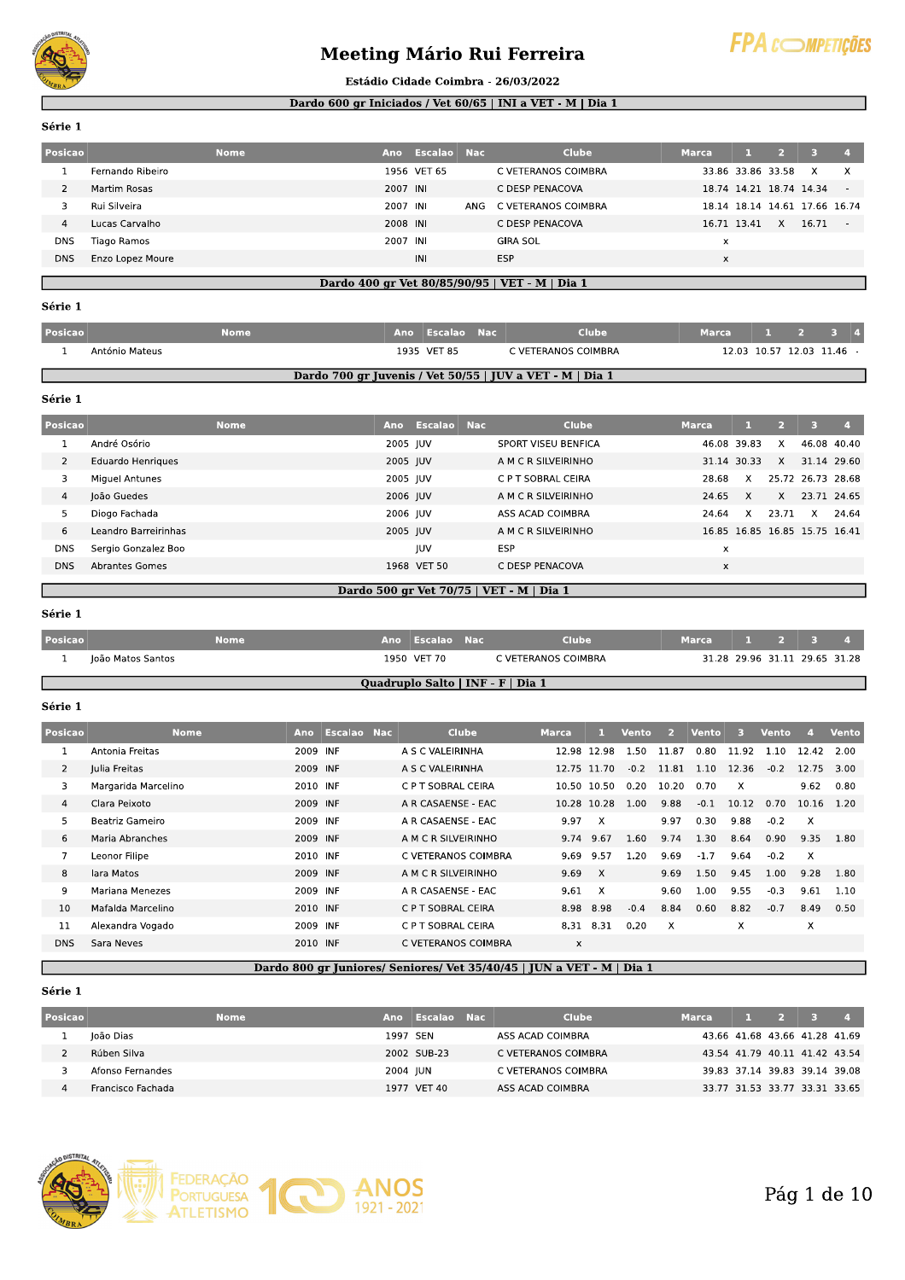

## **Meeting Mário Rui Ferreira**



#### Estádio Cidade Coimbra - 26/03/2022

#### Dardo 600 gr Iniciados / Vet 60/65 | INI a VET - M | Dia 1

Série 1

| Posicao    |                  | <b>Nome</b> | Ano      | Escalao Nac |     | <b>Clube</b>        | <b>Marca</b> |             | $\sim$                  | -31                           | $\overline{A}$ |
|------------|------------------|-------------|----------|-------------|-----|---------------------|--------------|-------------|-------------------------|-------------------------------|----------------|
|            | Fernando Ribeiro |             |          | 1956 VET 65 |     | C VETERANOS COIMBRA |              |             | 33.86 33.86 33.58       | X                             | $\times$       |
|            | Martim Rosas     |             | 2007 INI |             |     | C DESP PENACOVA     |              |             | 18.74 14.21 18.74 14.34 |                               | $\sim$         |
|            | Rui Silveira     |             | 2007 INI |             | ANG | C VETERANOS COIMBRA |              |             |                         | 18.14 18.14 14.61 17.66 16.74 |                |
| 4          | Lucas Carvalho   |             | 2008 INI |             |     | C DESP PENACOVA     |              | 16.71 13.41 | X                       | 16.71                         | $\sim$         |
| <b>DNS</b> | Tiago Ramos      |             | 2007 INI |             |     | <b>GIRA SOL</b>     | x            |             |                         |                               |                |
| <b>DNS</b> | Enzo Lopez Moure |             |          | INI         |     | ESP                 | $\times$     |             |                         |                               |                |
|            |                  |             |          |             |     |                     |              |             |                         |                               |                |

## Dardo 400 gr Vet 80/85/90/95 | VET - M | Dia 1

### Série 1

| <b>Posicao</b> |                | <b>Nome</b> | Ano Escalao Nac | Clube                                                    | Marca | 12341                     |  |
|----------------|----------------|-------------|-----------------|----------------------------------------------------------|-------|---------------------------|--|
|                | António Mateus |             | 1935 VET 85     | C VETERANOS COIMBRA                                      |       | 12.03 10.57 12.03 11.46 - |  |
|                |                |             |                 | Dardo 700 gr Juvenis / Vet 50/55   JUV a VET - M   Dia 1 |       |                           |  |

### Dardo 700 gr Juvenis / Vet 50/55 | JUV a VET - M | Dia 1

#### Série 1

| Posicao    | <b>Nome</b>          | Ano      | Escalao Nac | <b>Clube</b>        | <b>Marca</b> | л.          |       |                               | $\mathbf{A}$ |
|------------|----------------------|----------|-------------|---------------------|--------------|-------------|-------|-------------------------------|--------------|
|            | André Osório         | 2005 JUV |             | SPORT VISEU BENFICA | 46.08 39.83  |             | X     | 46.08 40.40                   |              |
| 2          | Eduardo Henriques    | 2005 JUV |             | A M C R SILVEIRINHO |              | 31.14 30.33 | X     | 31.14 29.60                   |              |
|            | Miguel Antunes       | 2005 JUV |             | C P T SOBRAL CEIRA  | 28.68        | X           |       | 25.72 26.73 28.68             |              |
| 4          | João Guedes          | 2006 JUV |             | A M C R SILVEIRINHO | 24.65        | X           | X     | 23.71 24.65                   |              |
| 5          | Diogo Fachada        | 2006 JUV |             | ASS ACAD COIMBRA    | 24.64        | X           | 23.71 | X                             | 24.64        |
| 6          | Leandro Barreirinhas | 2005 JUV |             | A M C R SILVEIRINHO |              |             |       | 16.85 16.85 16.85 15.75 16.41 |              |
| <b>DNS</b> | Sergio Gonzalez Boo  |          | <b>IUV</b>  | <b>ESP</b>          | x            |             |       |                               |              |
| <b>DNS</b> | Abrantes Gomes       |          | 1968 VET 50 | C DESP PENACOVA     | x            |             |       |                               |              |
|            |                      |          |             |                     |              |             |       |                               |              |

## Dardo 500 gr Vet 70/75 | VET - M | Dia 1

#### Série 1

| Posicao |                   | <b>Nome</b> | Ano Escalao Nac                   | Clube               | Marca                         |  | $\frac{1}{2}$ $\frac{2}{3}$ |  |
|---------|-------------------|-------------|-----------------------------------|---------------------|-------------------------------|--|-----------------------------|--|
|         | João Matos Santos |             | 1950 VET 70                       | C VETERANOS COIMBRA | 31.28 29.96 31.11 29.65 31.28 |  |                             |  |
|         |                   |             | Quadruplo Salto   INF - F   Dia 1 |                     |                               |  |                             |  |

## Série 1

| Posicao        | <b>Nome</b>         | <b>Ano</b>          | Escalao Nac | Clube               | <b>Marca</b> |              | Vento  | $\overline{2}$ | Vento  | в        | Vento  |              | Vento |
|----------------|---------------------|---------------------|-------------|---------------------|--------------|--------------|--------|----------------|--------|----------|--------|--------------|-------|
|                | Antonia Freitas     | 2009 INF            |             | A S C VALEIRINHA    |              | 12.98 12.98  | 1.50   | 11.87          | 0.80   | 11.92    | 1.10   | 12.42        | 2.00  |
| $\overline{2}$ | Julia Freitas       | 2009 INF            |             | A S C VALEIRINHA    |              | 12.75 11.70  | $-0.2$ | 11.81          | 1.10   | 12.36    | $-0.2$ | 12.75        | 3.00  |
| 3              | Margarida Marcelino | 2010 INF            |             | C P T SOBRAL CEIRA  |              | 10.50 10.50  | 0.20   | 10.20          | 0.70   | $\times$ |        | 9.62         | 0.80  |
| $\overline{4}$ | Clara Peixoto       | 2009 INF            |             | A R CASAENSE - EAC  |              | 10.28 10.28  | 1.00   | 9.88           | $-0.1$ | 10.12    | 0.70   | 10.16        | 1.20  |
| 5              | Beatriz Gameiro     | 2009 INF            |             | A R CASAENSE - EAC  | 9.97         | $\mathsf{x}$ |        | 9.97           | 0.30   | 9.88     | $-0.2$ | $\times$     |       |
| 6              | Maria Abranches     | 2009 INF            |             | A M C R SILVEIRINHO | 9.74         | 9.67         | 1.60   | 9.74           | 1.30   | 8.64     | 0.90   | 9.35         | 1.80  |
| 7              | Leonor Filipe       | 2010 INF            |             | C VETERANOS COIMBRA | 9.69         | 9.57         | 1.20   | 9.69           | $-1.7$ | 9.64     | $-0.2$ | $\mathsf{X}$ |       |
| 8              | lara Matos          | 2009 INF            |             | A M C R SILVEIRINHO | 9.69         | $\mathsf{X}$ |        | 9.69           | 1.50   | 9.45     | 1.00   | 9.28         | 1.80  |
| 9              | Mariana Menezes     | 2009 INF            |             | A R CASAENSE - EAC  | 9.61         | $\times$     |        | 9.60           | 1.00   | 9.55     | $-0.3$ | 9.61         | 1.10  |
| 10             | Mafalda Marcelino   | 2010 INF            |             | C P T SOBRAL CEIRA  |              | 8.98 8.98    | $-0.4$ | 8.84           | 0.60   | 8.82     | $-0.7$ | 8.49         | 0.50  |
| 11             | Alexandra Vogado    | 2009 INF            |             | C P T SOBRAL CEIRA  |              | 8.31 8.31    | 0.20   | X              |        | X        |        | X            |       |
| <b>DNS</b>     | Sara Neves          | 2010 INF<br>_ _ _ _ |             | C VETERANOS COIMBRA | X            |              |        |                |        |          |        |              |       |

## Dardo 800 gr Juniores/ Seniores/ Vet 35/40/45 | JUN a VET - M | Dia 1

#### Série 1

| <b>Posicao</b> |                   | Nome | Ano      | - Escalao Nac | Clube               | Marca                         | $\frac{1}{2}$ $\frac{1}{3}$ |                               |  |
|----------------|-------------------|------|----------|---------------|---------------------|-------------------------------|-----------------------------|-------------------------------|--|
|                | loão Dias         |      | 1997 SEN |               | ASS ACAD COIMBRA    |                               |                             | 43.66 41.68 43.66 41.28 41.69 |  |
|                | Rúben Silva       |      |          | 2002 SUB-23   | C VETERANOS COIMBRA | 43.54 41.79 40.11 41.42 43.54 |                             |                               |  |
|                | Afonso Fernandes  |      | 2004 IUN |               | C VETERANOS COIMBRA |                               |                             | 39.83 37.14 39.83 39.14 39.08 |  |
|                | Francisco Fachada |      |          | 1977 VET 40   | ASS ACAD COIMBRA    |                               |                             | 33.77 31.53 33.77 33.31 33.65 |  |

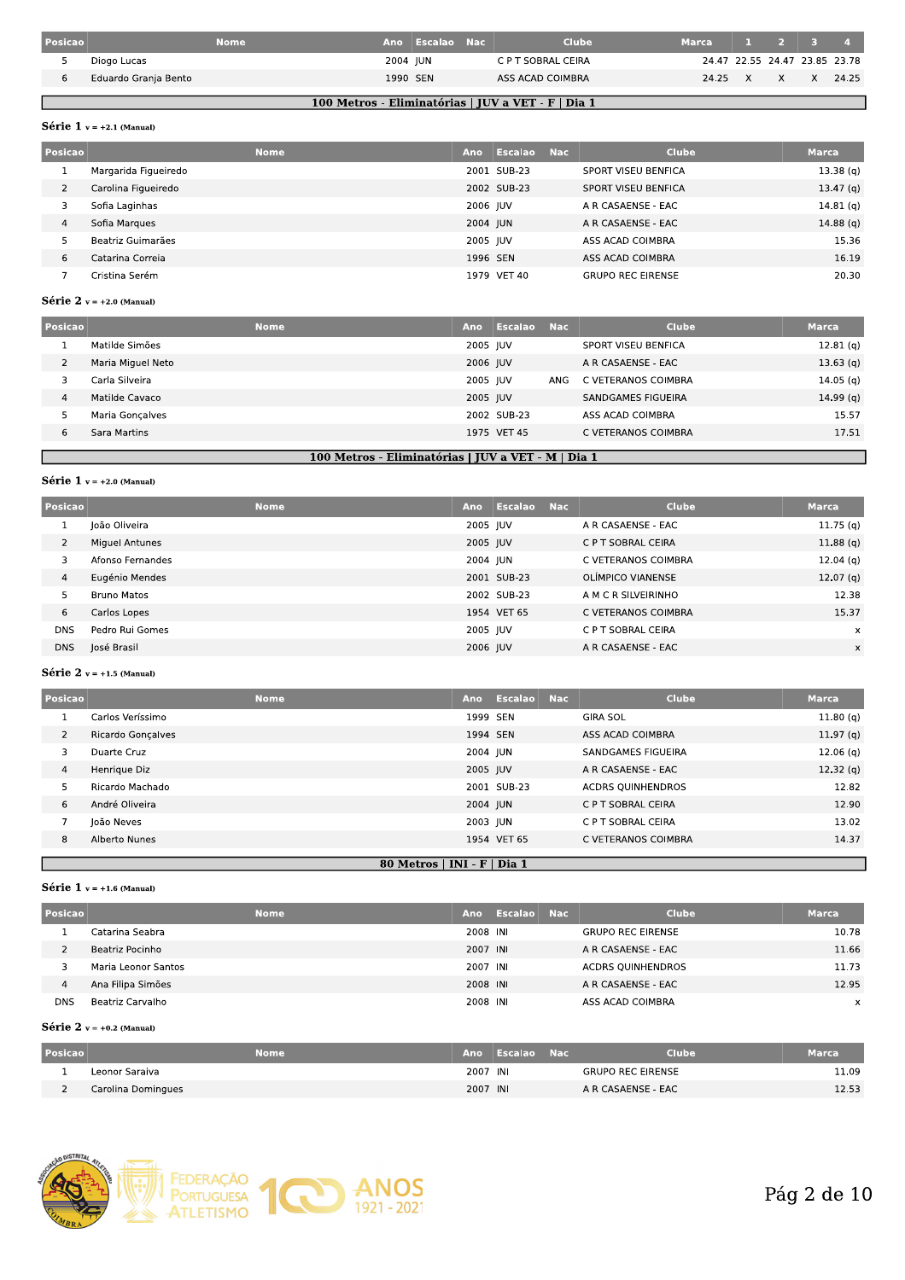| Posicao |                      | <b>Nome</b> |          | Ano Escalao Nac | <b>Clube</b>       | <b>Marca</b>                  | 1 2 3 4 |       |
|---------|----------------------|-------------|----------|-----------------|--------------------|-------------------------------|---------|-------|
|         | Diogo Lucas          |             | 2004 JUN |                 | C P T SOBRAL CEIRA | 24.47 22.55 24.47 23.85 23.78 |         |       |
|         | Eduardo Granja Bento |             | 1990 SEN |                 | ASS ACAD COIMBRA   | 24.25 X                       | $X$ X   | 24.25 |
|         |                      |             |          |                 |                    |                               |         |       |

## 100 Metros - Eliminatórias | JUV a VET - F | Dia 1

## Série  $1$  v = +2.1 (Manual)

| Posicao | <b>Nome</b>          | Ano      | Escalao     | - Nac | <b>Clube</b>             | <b>Marca</b>         |
|---------|----------------------|----------|-------------|-------|--------------------------|----------------------|
|         | Margarida Figueiredo |          | 2001 SUB-23 |       | SPORT VISEU BENFICA      | 13.38(q)             |
|         | Carolina Figueiredo  |          | 2002 SUB-23 |       | SPORT VISEU BENFICA      | 13.47 <sub>(q)</sub> |
| 3       | Sofia Laginhas       | 2006 JUV |             |       | A R CASAENSE - EAC       | 14.81(q)             |
| 4       | Sofia Margues        | 2004 JUN |             |       | A R CASAENSE - EAC       | 14.88(q)             |
| 5       | Beatriz Guimarães    | 2005 JUV |             |       | ASS ACAD COIMBRA         | 15.36                |
| 6       | Catarina Correia     | 1996 SEN |             |       | ASS ACAD COIMBRA         | 16.19                |
|         | Cristina Serém       |          | 1979 VET 40 |       | <b>GRUPO REC EIRENSE</b> | 20.30                |

## Série 2  $v = +2.0$  (Manual)

| Posicao |                   | <b>Nome</b> | Ano      | Escalao     | <b>Nac</b> | <b>Clube</b>        | <b>Marca</b> |
|---------|-------------------|-------------|----------|-------------|------------|---------------------|--------------|
|         | Matilde Simões    |             | 2005 JUV |             |            | SPORT VISEU BENFICA | 12.81(q)     |
| 2       | Maria Miguel Neto |             | 2006 JUV |             |            | A R CASAENSE - EAC  | 13.63(q)     |
|         | Carla Silveira l  |             | 2005 JUV |             | ANG        | C VETERANOS COIMBRA | 14.05(q)     |
| 4       | Matilde Cavaco    |             | 2005 JUV |             |            | SANDGAMES FIGUEIRA  | 14.99(q)     |
|         | Maria Goncalves   |             |          | 2002 SUB-23 |            | ASS ACAD COIMBRA    | 15.57        |
| 6       | Sara Martins      |             |          | 1975 VET 45 |            | C VETERANOS COIMBRA | 17.51        |
|         |                   |             |          |             |            |                     |              |

## 100 Metros - Eliminatórias | JUV a VET - M | Dia 1

### Série 1  $v = +2.0$  (Manual)

Г

| Posicao    | <b>Nome</b>      | Ano      | Escalao Nac | <b>Clube</b>        | <b>Marca</b>         |
|------------|------------------|----------|-------------|---------------------|----------------------|
|            | loão Oliveira    | 2005 IUV |             | A R CASAENSE - EAC  | 11.75(q)             |
| 2          | Miguel Antunes   | 2005 JUV |             | C P T SOBRAL CEIRA  | 11.88(q)             |
| 3          | Afonso Fernandes | 2004 JUN |             | C VETERANOS COIMBRA | $12.04$ (g)          |
| 4          | Eugénio Mendes   |          | 2001 SUB-23 | OLÍMPICO VIANENSE   | 12.07 <sub>(q)</sub> |
| 5          | Bruno Matos      |          | 2002 SUB-23 | A M C R SILVEIRINHO | 12.38                |
| 6          | Carlos Lopes     |          | 1954 VET 65 | C VETERANOS COIMBRA | 15.37                |
| <b>DNS</b> | Pedro Rui Gomes  | 2005 JUV |             | C P T SOBRAL CEIRA  | $\times$             |
| <b>DNS</b> | José Brasil      | 2006 JUV |             | A R CASAENSE - EAC  | X                    |

## Série 2  $v = +1.5$  (Manual)

| Posicao |                                     | <b>Nome</b> | Ano                         | <b>Escalao</b> | <b>Nac</b> | <b>Clube</b>             | <b>Marca</b>         |
|---------|-------------------------------------|-------------|-----------------------------|----------------|------------|--------------------------|----------------------|
|         | Carlos Veríssimo                    |             | 1999 SEN                    |                |            | <b>GIRA SOL</b>          | 11.80(q)             |
|         | $\overline{2}$<br>Ricardo Gonçalves |             | 1994 SEN                    |                |            | ASS ACAD COIMBRA         | 11.97 <sub>(q)</sub> |
|         | 3<br>Duarte Cruz                    |             | 2004 JUN                    |                |            | SANDGAMES FIGUEIRA       | 12.06(q)             |
|         | 4<br>Henrique Diz                   |             | 2005 JUV                    |                |            | A R CASAENSE - EAC       | 12.32(q)             |
|         | Ricardo Machado                     |             |                             | 2001 SUB-23    |            | <b>ACDRS OUINHENDROS</b> | 12.82                |
|         | 6<br>André Oliveira                 |             | 2004 JUN                    |                |            | C P T SOBRAL CEIRA       | 12.90                |
|         | João Neves                          |             | 2003 JUN                    |                |            | C P T SOBRAL CEIRA       | 13.02                |
|         | 8<br>Alberto Nunes                  |             |                             | 1954 VET 65    |            | C VETERANOS COIMBRA      | 14.37                |
|         |                                     |             | 80 Metros   INI - F   Dia 1 |                |            |                          |                      |

### Série 1  $v = +1.6$  (Manual)

| Posicao    | <b>Nome</b>         | Ano      | Escalao Nac | Clube                    | <b>Marca</b> |
|------------|---------------------|----------|-------------|--------------------------|--------------|
|            | Catarina Seabra     | 2008 INI |             | <b>GRUPO REC EIRENSE</b> | 10.78        |
|            | Beatriz Pocinho     | 2007 INI |             | A R CASAENSE - EAC       | 11.66        |
|            | Maria Leonor Santos | 2007 INI |             | <b>ACDRS QUINHENDROS</b> | 11.73        |
| 4          | Ana Filipa Simões   | 2008 INI |             | A R CASAENSE - EAC       | 12.95        |
| <b>DNS</b> | Beatriz Carvalho    | 2008 INI |             | ASS ACAD COIMBRA         | x            |

## Série 2  $v = +0.2$  (Manual)

| <b>Posicao</b> | Nome               |          | Ano Escalao Nac | <b>Clube</b>             | <b>Marca</b> |
|----------------|--------------------|----------|-----------------|--------------------------|--------------|
|                | Leonor Saraiva     | 2007 INI |                 | <b>GRUPO REC EIRENSE</b> | 11.09        |
|                | Carolina Domingues | 2007 INI |                 | A R CASAENSE - EAC       | 12.53        |

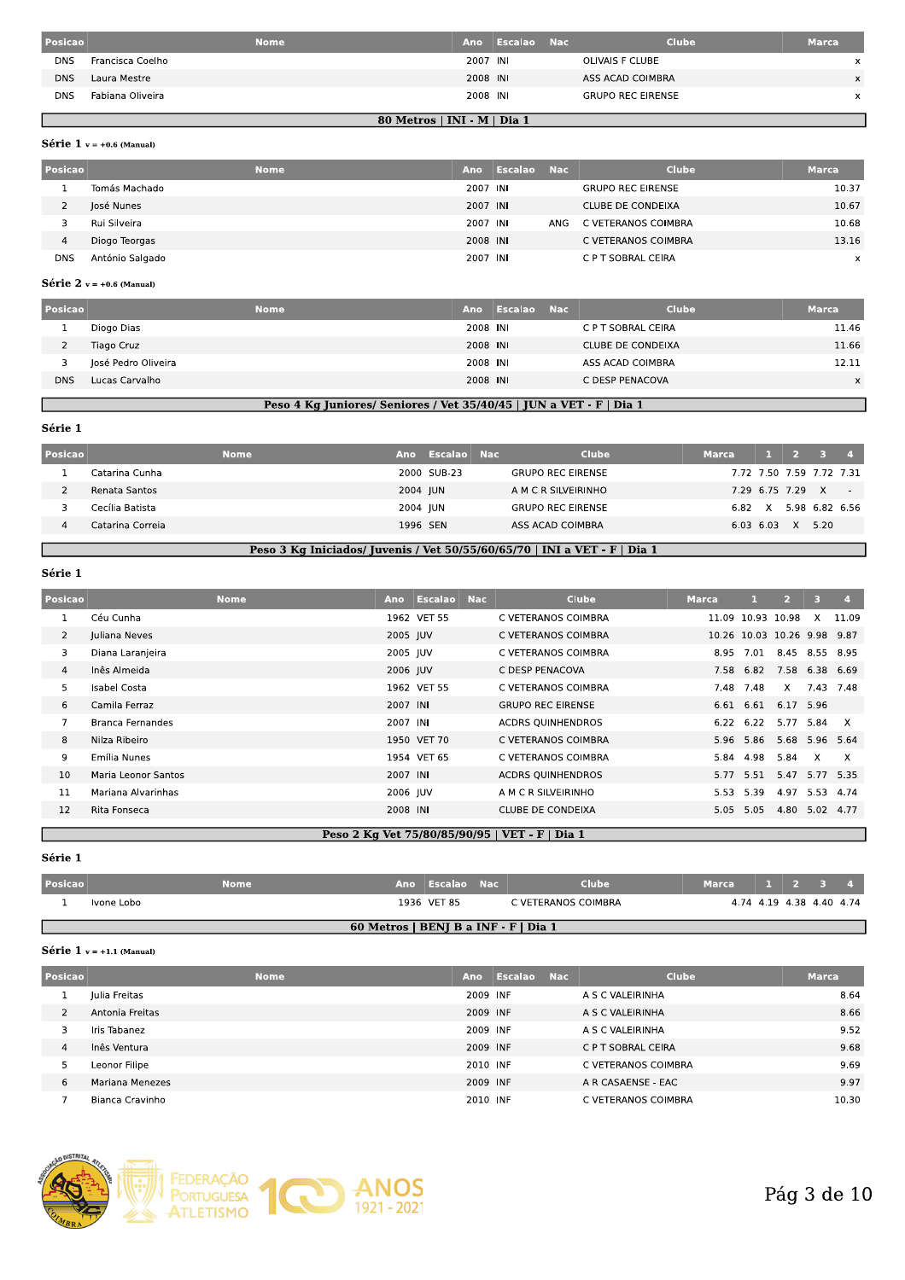| Posicao    |                  | <b>Nome</b>                 | Ano      | Escalao Nac | <b>Clube</b>             | <b>Marca</b> |
|------------|------------------|-----------------------------|----------|-------------|--------------------------|--------------|
| <b>DNS</b> | Francisca Coelho |                             | 2007 INI |             | OLIVAIS F CLUBE          | x            |
| <b>DNS</b> | Laura Mestre     |                             | 2008 INI |             | ASS ACAD COIMBRA         | X            |
| <b>DNS</b> | Fabiana Oliveira |                             | 2008 INI |             | <b>GRUPO REC EIRENSE</b> | $\times$     |
|            |                  | 80 Metros   INI - M   Dia 1 |          |             |                          |              |

### Série 1  $v = +0.6$  (Manual)

L

| Posicao    |                 | <b>Nome</b> | Ano      | Escalao Nac |            | <b>Clube</b>             | <b>Marca</b> |
|------------|-----------------|-------------|----------|-------------|------------|--------------------------|--------------|
|            | Tomás Machado   |             | 2007 INI |             |            | <b>GRUPO REC EIRENSE</b> | 10.37        |
|            | José Nunes      |             | 2007 INI |             |            | CLUBE DE CONDEIXA        | 10.67        |
|            | Rui Silveira    |             | 2007 INI |             | <b>ANG</b> | C VETERANOS COIMBRA      | 10.68        |
| 4          | Diogo Teorgas   |             | 2008 INI |             |            | C VETERANOS COIMBRA      | 13.16        |
| <b>DNS</b> | António Salgado |             | 2007 INI |             |            | C P T SOBRAL CEIRA       | $\mathsf{x}$ |

## Série 2  $v = +0.6$  (Manual)

| Posicao    |                     | <b>Nome</b> | Ano      | Escalao | <b>Nac</b> | <b>Clube</b>       | <b>Marca</b> |
|------------|---------------------|-------------|----------|---------|------------|--------------------|--------------|
|            | Diogo Dias          |             | 2008 INI |         |            | C P T SOBRAL CEIRA | 11.46        |
|            | Tiago Cruz          |             | 2008 INI |         |            | CLUBE DE CONDEIXA  | 11.66        |
|            | José Pedro Oliveira |             | 2008 INI |         |            | ASS ACAD COIMBRA   | 12.11        |
| <b>DNS</b> | Lucas Carvalho      |             | 2008 INI |         |            | C DESP PENACOVA    | $\times$     |

## Peso 4 Kg Juniores/ Seniores / Vet 35/40/45 | JUN a VET - F | Dia 1

#### Série 1

Г

| Posicao |                  | Nome | Ano      | Escalao Nac | <b>Clube</b>                                                              | <b>Marca</b> | <b>The Contract of the Contract of the Contract of the Contract of the Contract of the Contract of the Contract of the Contract of the Contract of the Contract of the Contract of the Contract of the Contract of the Contract </b> |                          |                |  |
|---------|------------------|------|----------|-------------|---------------------------------------------------------------------------|--------------|--------------------------------------------------------------------------------------------------------------------------------------------------------------------------------------------------------------------------------------|--------------------------|----------------|--|
|         | Catarina Cunha   |      |          | 2000 SUB-23 | <b>GRUPO REC EIRENSE</b>                                                  |              |                                                                                                                                                                                                                                      | 7.72 7.50 7.59 7.72 7.31 |                |  |
|         | Renata Santos    |      | 2004 JUN |             | A M C R SILVEIRINHO                                                       |              |                                                                                                                                                                                                                                      | 7.29 6.75 7.29 X         |                |  |
|         | Cecília Batista  |      | 2004 JUN |             | <b>GRUPO REC EIRENSE</b>                                                  | 6.82         | X                                                                                                                                                                                                                                    |                          | 5.98 6.82 6.56 |  |
|         | Catarina Correia |      | 1996 SEN |             | ASS ACAD COIMBRA                                                          |              | $6.03$ $6.03$                                                                                                                                                                                                                        | X                        | 5.20           |  |
|         |                  |      |          |             |                                                                           |              |                                                                                                                                                                                                                                      |                          |                |  |
|         |                  |      |          |             | Peso 3 Kg Iniciados/ Juvenis / Vet 50/55/60/65/70   INI a VET - F   Dia 1 |              |                                                                                                                                                                                                                                      |                          |                |  |

### Série 1

| Posicao        |                         | <b>Nome</b> |          | Ano Escalao Nac | <b>Clube</b>                                   | <b>Marca</b> |                             | $\overline{2}$ | 3              | $\overline{a}$ |
|----------------|-------------------------|-------------|----------|-----------------|------------------------------------------------|--------------|-----------------------------|----------------|----------------|----------------|
|                | Céu Cunha               |             |          | 1962 VET 55     | C VETERANOS COIMBRA                            |              | 11.09 10.93 10.98           |                | $\mathsf{X}$   | 11.09          |
| $\overline{2}$ | Juliana Neves           |             | 2005 JUV |                 | C VETERANOS COIMBRA                            |              | 10.26 10.03 10.26 9.98 9.87 |                |                |                |
| 3              | Diana Laranjeira        |             | 2005 JUV |                 | C VETERANOS COIMBRA                            | 8.95         | 7.01                        |                | 8.45 8.55 8.95 |                |
| $\overline{4}$ | Inês Almeida            |             | 2006 JUV |                 | C DESP PENACOVA                                |              | 7.58 6.82                   | 7.58           | 6.38 6.69      |                |
| 5              | Isabel Costa            |             |          | 1962 VET 55     | C VETERANOS COIMBRA                            | 7.48         | 7.48                        | X              |                | 7.43 7.48      |
| 6              | Camila Ferraz           |             | 2007 INI |                 | <b>GRUPO REC EIRENSE</b>                       |              | 6.61 6.61                   | 6.17 5.96      |                |                |
| $\overline{7}$ | <b>Branca Fernandes</b> |             | 2007 INI |                 | <b>ACDRS OUINHENDROS</b>                       |              | 6.22 6.22                   |                | 5.77 5.84      | X              |
| 8              | Nilza Ribeiro           |             |          | 1950 VET 70     | C VETERANOS COIMBRA                            |              | 5.96 5.86                   |                | 5.68 5.96 5.64 |                |
| 9              | Emília Nunes            |             |          | 1954 VET 65     | C VETERANOS COIMBRA                            | 5.84         | 4.98                        | 5.84           | $\mathsf{X}$   | X              |
| 10             | Maria Leonor Santos     |             | 2007 INI |                 | <b>ACDRS OUINHENDROS</b>                       |              | 5.77 5.51                   |                | 5.47 5.77 5.35 |                |
| 11             | Mariana Alvarinhas      |             | 2006 JUV |                 | A M C R SILVEIRINHO                            | 5.53         | 5.39                        |                | 4.97 5.53      | 4.74           |
| 12             | Rita Fonseca            |             | 2008 INI |                 | <b>CLUBE DE CONDEIXA</b>                       |              | 5.05 5.05                   |                | 4.80 5.02 4.77 |                |
|                |                         |             |          |                 | Peso 2 Kg Vet 75/80/85/90/95   VET - F   Dia 1 |              |                             |                |                |                |

### Série 1

| Posicao |            | Nome | Ano Escalao Nac                      | <b>Clube</b>        | Marca | 1 2 3 4                  |  |
|---------|------------|------|--------------------------------------|---------------------|-------|--------------------------|--|
|         | Ivone Lobo |      | 1936 VET 85                          | C VETERANOS COIMBRA |       | 4.74 4.19 4.38 4.40 4.74 |  |
|         |            |      | 60 Metros   BENJ B a INF - F   Dia 1 |                     |       |                          |  |

#### Série 1  $v = +1.1$  (Manual)

| Posicao |                 | <b>Nome</b> | <b>Ano</b> | Escalao Nac | <b>Clube</b>        | <b>Marca</b> |
|---------|-----------------|-------------|------------|-------------|---------------------|--------------|
| ÷       | Iulia Freitas   |             | 2009 INF   |             | A S C VALEIRINHA    | 8.64         |
|         | Antonia Freitas |             | 2009 INF   |             | A S C VALEIRINHA    | 8.66         |
|         | Iris Tabanez    |             | 2009 INF   |             | A S C VALEIRINHA    | 9.52         |
| 4       | Inês Ventura    |             | 2009 INF   |             | C P T SOBRAL CEIRA  | 9.68         |
| ь       | Leonor Filipe   |             | 2010 INF   |             | C VETERANOS COIMBRA | 9.69         |
| 6       | Mariana Menezes |             | 2009 INF   |             | A R CASAENSE - EAC  | 9.97         |
|         | Bianca Cravinho |             | 2010 INF   |             | C VETERANOS COIMBRA | 10.30        |

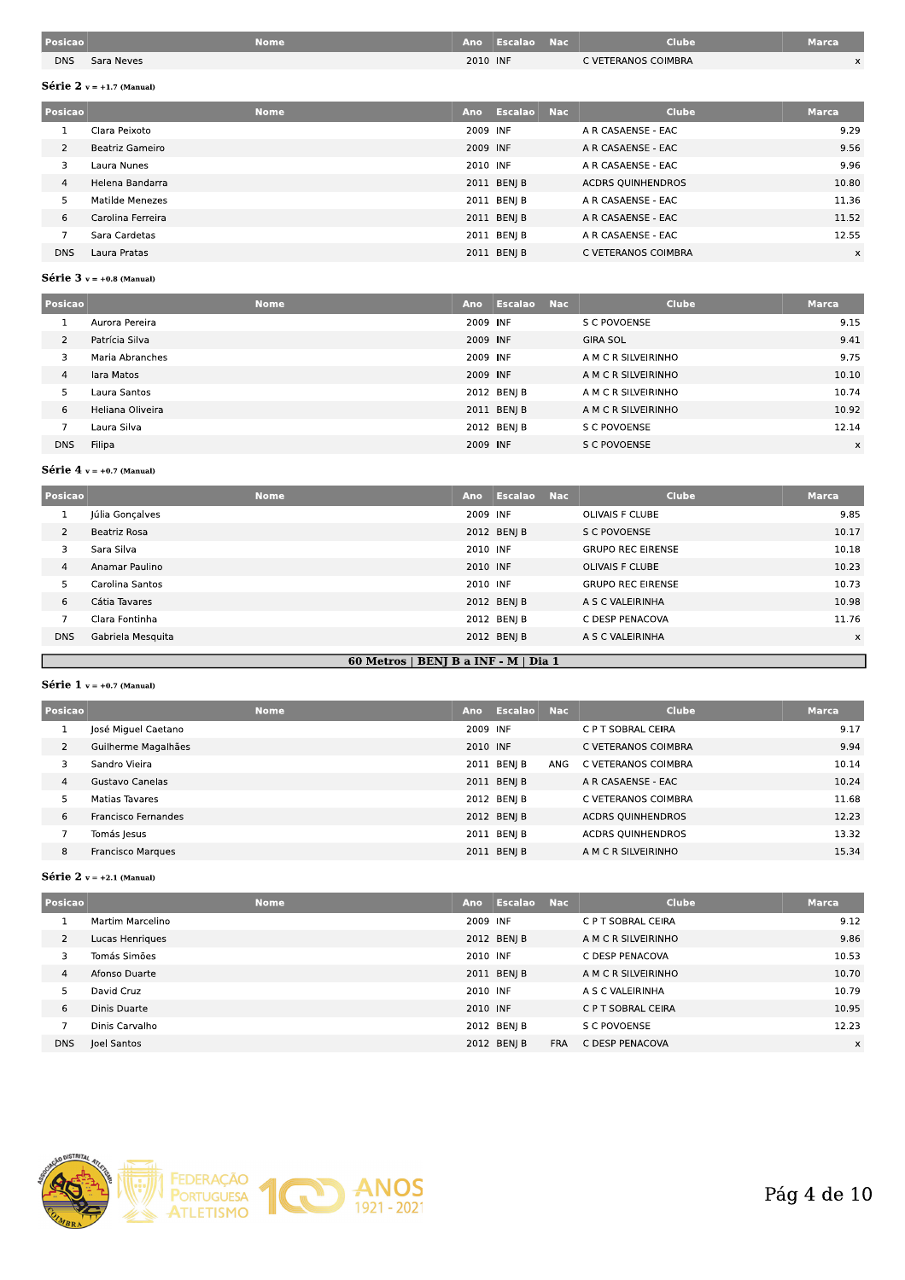| Posicao    |            | Nome |          | Ano Escalao | <b>Nac</b> | <b>Clube</b>        | Marca |
|------------|------------|------|----------|-------------|------------|---------------------|-------|
| <b>DNS</b> | Sara Neves |      | 2010 INF |             |            | C VETERANOS COIMBRA |       |

## Série 2  $v = +1.7$  (Manual)

| Posicao        |                   | <b>Nome</b> | Ano      | Escalao Nac | <b>Clube</b>             | <b>Marca</b> |
|----------------|-------------------|-------------|----------|-------------|--------------------------|--------------|
|                | Clara Peixoto     |             | 2009 INF |             | A R CASAENSE - EAC       | 9.29         |
| $\overline{2}$ | Beatriz Gameiro   |             | 2009 INF |             | A R CASAENSE - EAC       | 9.56         |
| 3              | Laura Nunes       |             | 2010 INF |             | A R CASAENSE - EAC       | 9.96         |
| $\overline{4}$ | Helena Bandarra   |             |          | 2011 BENJ B | <b>ACDRS OUINHENDROS</b> | 10.80        |
| 5              | Matilde Menezes   |             |          | 2011 BEN  B | A R CASAENSE - EAC       | 11.36        |
| 6              | Carolina Ferreira |             |          | 2011 BENJ B | A R CASAENSE - EAC       | 11.52        |
|                | Sara Cardetas     |             |          | 2011 BENJ B | A R CASAENSE - EAC       | 12.55        |
| <b>DNS</b>     | Laura Pratas      |             |          | 2011 BEN  B | C VETERANOS COIMBRA      | $\times$     |

## Série  $3$  v = +0.8 (Manual)

| Posicao        |                  | <b>Nome</b> | Ano      | Escalao Nac | Clube               | <b>Marca</b> |
|----------------|------------------|-------------|----------|-------------|---------------------|--------------|
|                | Aurora Pereira   |             | 2009 INF |             | S C POVOENSE        | 9.15         |
| $\overline{2}$ | Patrícia Silva   |             | 2009 INF |             | <b>GIRA SOL</b>     | 9.41         |
| 3              | Maria Abranches  |             | 2009 INF |             | A M C R SILVEIRINHO | 9.75         |
| $\overline{4}$ | lara Matos       |             | 2009 INF |             | A M C R SILVEIRINHO | 10.10        |
| 5              | Laura Santos     |             |          | 2012 BEN  B | A M C R SILVEIRINHO | 10.74        |
| 6              | Heliana Oliveira |             |          | 2011 BEN  B | A M C R SILVEIRINHO | 10.92        |
|                | Laura Silva      |             |          | 2012 BENJ B | S C POVOENSE        | 12.14        |
| <b>DNS</b>     | Filipa           |             | 2009 INF |             | S C POVOENSE        | $\times$     |

## Série  $4$  v = +0.7 (Manual)

| Posicao        |                   | <b>Nome</b> | Ano      | Escalao     | Nac | Clube                    | <b>Marca</b> |
|----------------|-------------------|-------------|----------|-------------|-----|--------------------------|--------------|
| J.             | Júlia Gonçalves   |             | 2009 INF |             |     | OLIVAIS F CLUBE          | 9.85         |
| $\overline{2}$ | Beatriz Rosa      |             |          | 2012 BENJ B |     | S C POVOENSE             | 10.17        |
| 3              | Sara Silva        |             | 2010 INF |             |     | <b>GRUPO REC EIRENSE</b> | 10.18        |
| $\overline{4}$ | Anamar Paulino    |             | 2010 INF |             |     | <b>OLIVAIS F CLUBE</b>   | 10.23        |
| 5              | Carolina Santos   |             | 2010 INF |             |     | <b>GRUPO REC EIRENSE</b> | 10.73        |
| 6              | Cátia Tavares     |             |          | 2012 BENJ B |     | A S C VALEIRINHA         | 10.98        |
|                | Clara Fontinha    |             |          | 2012 BENJ B |     | C DESP PENACOVA          | 11.76        |
| <b>DNS</b>     | Gabriela Mesquita |             |          | 2012 BENJ B |     | A S C VALEIRINHA         | X            |
|                |                   |             |          |             |     |                          |              |

## 60 Metros | BENJ B a INF - M | Dia 1

## Série 1  $v = +0.7$  (Manual)

П

| Posicao |                     | <b>Nome</b><br>Ano |          | Escalao Nac |     | <b>Clube</b>             | <b>Marca</b> |
|---------|---------------------|--------------------|----------|-------------|-----|--------------------------|--------------|
|         | José Miguel Caetano |                    | 2009 INF |             |     | C P T SOBRAL CEIRA       | 9.17         |
|         | Guilherme Magalhães |                    | 2010 INF |             |     | C VETERANOS COIMBRA      | 9.94         |
|         | Sandro Vieira       |                    |          | 2011 BENJ B | ANG | C VETERANOS COIMBRA      | 10.14        |
| 4       | Gustavo Canelas     |                    |          | 2011 BEN  B |     | A R CASAENSE - EAC       | 10.24        |
|         | Matias Tavares      |                    |          | 2012 BENJ B |     | C VETERANOS COIMBRA      | 11.68        |
| 6       | Francisco Fernandes |                    |          | 2012 BENI B |     | <b>ACDRS OUINHENDROS</b> | 12.23        |
|         | Tomás Jesus         |                    |          | 2011 BEN  B |     | <b>ACDRS QUINHENDROS</b> | 13.32        |
| 8       | Francisco Marques   |                    |          | 2011 BENJ B |     | A M C R SILVEIRINHO      | 15.34        |

## Série 2  $v = +2.1$  (Manual)

| Posicao        | <b>Nome</b>      | Ano      | Escalao     | Nac        | <b>Clube</b>        | Marca |
|----------------|------------------|----------|-------------|------------|---------------------|-------|
|                | Martim Marcelino | 2009 INF |             |            | C P T SOBRAL CEIRA  | 9.12  |
| $\overline{2}$ | Lucas Henriques  |          | 2012 BENJ B |            | A M C R SILVEIRINHO | 9.86  |
| 3              | Tomás Simões     | 2010 INF |             |            | C DESP PENACOVA     | 10.53 |
| $\overline{4}$ | Afonso Duarte    |          | 2011 BENJ B |            | A M C R SILVEIRINHO | 10.70 |
| 5              | David Cruz       | 2010 INF |             |            | A S C VALEIRINHA    | 10.79 |
| 6              | Dinis Duarte     | 2010 INF |             |            | C P T SOBRAL CEIRA  | 10.95 |
|                | Dinis Carvalho   |          | 2012 BEN  B |            | S C POVOENSE        | 12.23 |
| <b>DNS</b>     | Joel Santos      |          | 2012 BENJ B | <b>FRA</b> | C DESP PENACOVA     | X     |

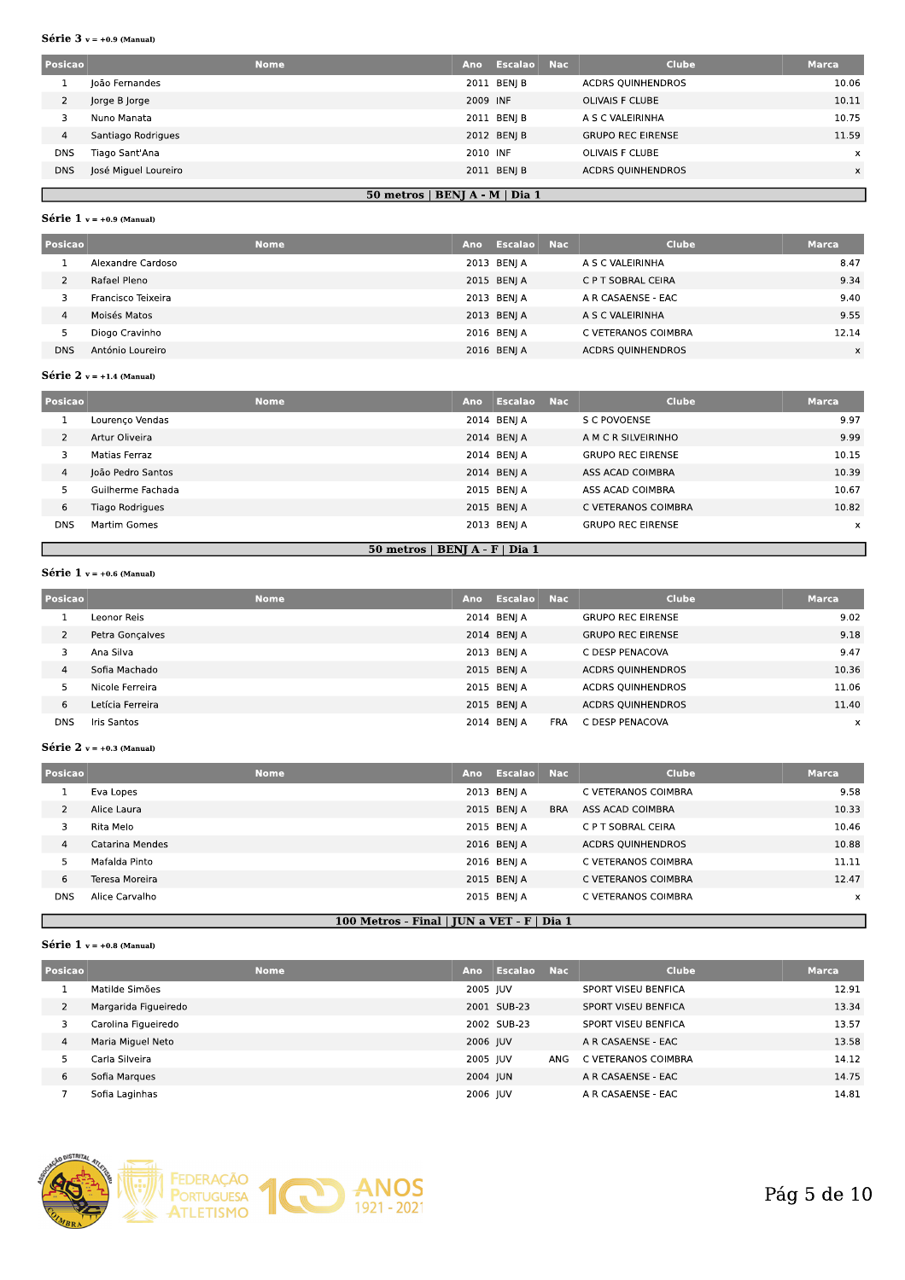#### Série  $3$  v = +0.9 (Manual)

| Posicao    |                      | <b>Nome</b>                    | Ano      | Escalao Nac | <b>Clube</b>             | Marca |
|------------|----------------------|--------------------------------|----------|-------------|--------------------------|-------|
|            | loão Fernandes       |                                |          | 2011 BENIB  | <b>ACDRS OUINHENDROS</b> | 10.06 |
| 2          | Jorge B Jorge        |                                | 2009 INF |             | <b>OLIVAIS F CLUBE</b>   | 10.11 |
|            | Nuno Manata          |                                |          | 2011 BENIB  | A S C VALEIRINHA         | 10.75 |
| 4          | Santiago Rodrigues   |                                |          | 2012 BENJ B | <b>GRUPO REC EIRENSE</b> | 11.59 |
| <b>DNS</b> | Tiago Sant'Ana       |                                | 2010 INF |             | OLIVAIS F CLUBE          | x     |
| <b>DNS</b> | José Miguel Loureiro |                                |          | 2011 BENIB  | <b>ACDRS OUINHENDROS</b> | x     |
|            |                      | 50 metros   BENJ A - M   Dia 1 |          |             |                          |       |

#### Série 1  $v = +0.9$  (Manual)

| Posicao    | <b>Nome</b>        | Ano | Escalao Nac | <b>Clube</b>             | <b>Marca</b> |
|------------|--------------------|-----|-------------|--------------------------|--------------|
|            | Alexandre Cardoso  |     | 2013 BENJ A | A S C VALEIRINHA         | 8.47         |
|            | Rafael Pleno       |     | 2015 BENJ A | C P T SOBRAL CEIRA       | 9.34         |
|            | Francisco Teixeira |     | 2013 BENI A | A R CASAENSE - EAC       | 9.40         |
| 4          | Moisés Matos       |     | 2013 BENJ A | A S C VALEIRINHA         | 9.55         |
|            | Diogo Cravinho     |     | 2016 BENJA  | C VETERANOS COIMBRA      | 12.14        |
| <b>DNS</b> | António Loureiro   |     | 2016 BENI A | <b>ACDRS QUINHENDROS</b> | X            |

## Série 2  $v = +1.4$  (Manual)

| Posicao        |                   | <b>Nome</b>                    | Ano | Escalao Nac | <b>Clube</b>             | <b>Marca</b> |
|----------------|-------------------|--------------------------------|-----|-------------|--------------------------|--------------|
|                | Lourenço Vendas   |                                |     | 2014 BENJ A | S C POVOENSE             | 9.97         |
| $\overline{2}$ | Artur Oliveira    |                                |     | 2014 BENJ A | A M C R SILVEIRINHO      | 9.99         |
| 3              | Matias Ferraz     |                                |     | 2014 BENJ A | <b>GRUPO REC EIRENSE</b> | 10.15        |
| $\overline{4}$ | João Pedro Santos |                                |     | 2014 BENJ A | ASS ACAD COIMBRA         | 10.39        |
| 5              | Guilherme Fachada |                                |     | 2015 BENJ A | ASS ACAD COIMBRA         | 10.67        |
| 6              | Tiago Rodrigues   |                                |     | 2015 BENJ A | C VETERANOS COIMBRA      | 10.82        |
| <b>DNS</b>     | Martim Gomes      |                                |     | 2013 BENJ A | <b>GRUPO REC EIRENSE</b> | x            |
|                |                   | 50 metros   BENJ A - F   Dia 1 |     |             |                          |              |

## Série  $1 v = +0.6$  (Manual)

| Posicao |                  | <b>Nome</b> | Ano | Escalao Nac |            | <b>Clube</b>             | <b>Marca</b>              |
|---------|------------------|-------------|-----|-------------|------------|--------------------------|---------------------------|
|         | Leonor Reis      |             |     | 2014 BENJ A |            | <b>GRUPO REC EIRENSE</b> | 9.02                      |
|         | Petra Gonçalves  |             |     | 2014 BENJ A |            | <b>GRUPO REC EIRENSE</b> | 9.18                      |
|         | Ana Silva        |             |     | 2013 BENI A |            | C DESP PENACOVA          | 9.47                      |
| 4       | Sofia Machado    |             |     | 2015 BENJ A |            | <b>ACDRS OUINHENDROS</b> | 10.36                     |
|         | Nicole Ferreira  |             |     | 2015 BENJ A |            | <b>ACDRS QUINHENDROS</b> | 11.06                     |
| 6       | Letícia Ferreira |             |     | 2015 BENJ A |            | <b>ACDRS QUINHENDROS</b> | 11.40                     |
| DNS     | Iris Santos      |             |     | 2014 BENI A | <b>FRA</b> | C DESP PENACOVA          | $\boldsymbol{\mathsf{x}}$ |

#### Série 2  $v = +0.3$  (Manual)

| Posicao    |                 | <b>Nome</b> | Ano | Escalao Nac |            | Clube                    | <b>Marca</b> |
|------------|-----------------|-------------|-----|-------------|------------|--------------------------|--------------|
|            | Eva Lopes       |             |     | 2013 BENI A |            | C VETERANOS COIMBRA      | 9.58         |
|            | Alice Laura     |             |     | 2015 BENJ A | <b>BRA</b> | ASS ACAD COIMBRA         | 10.33        |
| 3          | Rita Melo       |             |     | 2015 BENJ A |            | C P T SOBRAL CEIRA       | 10.46        |
| 4          | Catarina Mendes |             |     | 2016 BENJ A |            | <b>ACDRS QUINHENDROS</b> | 10.88        |
|            | Mafalda Pinto   |             |     | 2016 BENJ A |            | C VETERANOS COIMBRA      | 11.11        |
| 6          | Teresa Moreira  |             |     | 2015 BENJ A |            | C VETERANOS COIMBRA      | 12.47        |
| <b>DNS</b> | Alice Carvalho  |             |     | 2015 BENJ A |            | C VETERANOS COIMBRA      | $\times$     |

## 100 Metros - Final | JUN a VET - F | Dia 1

## Série 1  $v = +0.8$  (Manual)

| Posicao        |                      | <b>Nome</b> | Ano      | Escalao     | Nac | <b>Clube</b>               | <b>Marca</b> |
|----------------|----------------------|-------------|----------|-------------|-----|----------------------------|--------------|
|                | Matilde Simões       |             | 2005 JUV |             |     | SPORT VISEU BENFICA        | 12.91        |
| 2              | Margarida Figueiredo |             |          | 2001 SUB-23 |     | SPORT VISEU BENFICA        | 13.34        |
| 3              | Carolina Figueiredo  |             |          | 2002 SUB-23 |     | <b>SPORT VISEU BENFICA</b> | 13.57        |
| $\overline{4}$ | Maria Miguel Neto    |             | 2006 JUV |             |     | A R CASAENSE - EAC         | 13.58        |
|                | Carla Silveira       |             | 2005 JUV |             | ANG | C VETERANOS COIMBRA        | 14.12        |
| 6              | Sofia Marques        |             | 2004 JUN |             |     | A R CASAENSE - EAC         | 14.75        |
|                | Sofia Laginhas       |             | 2006 JUV |             |     | A R CASAENSE - EAC         | 14.81        |

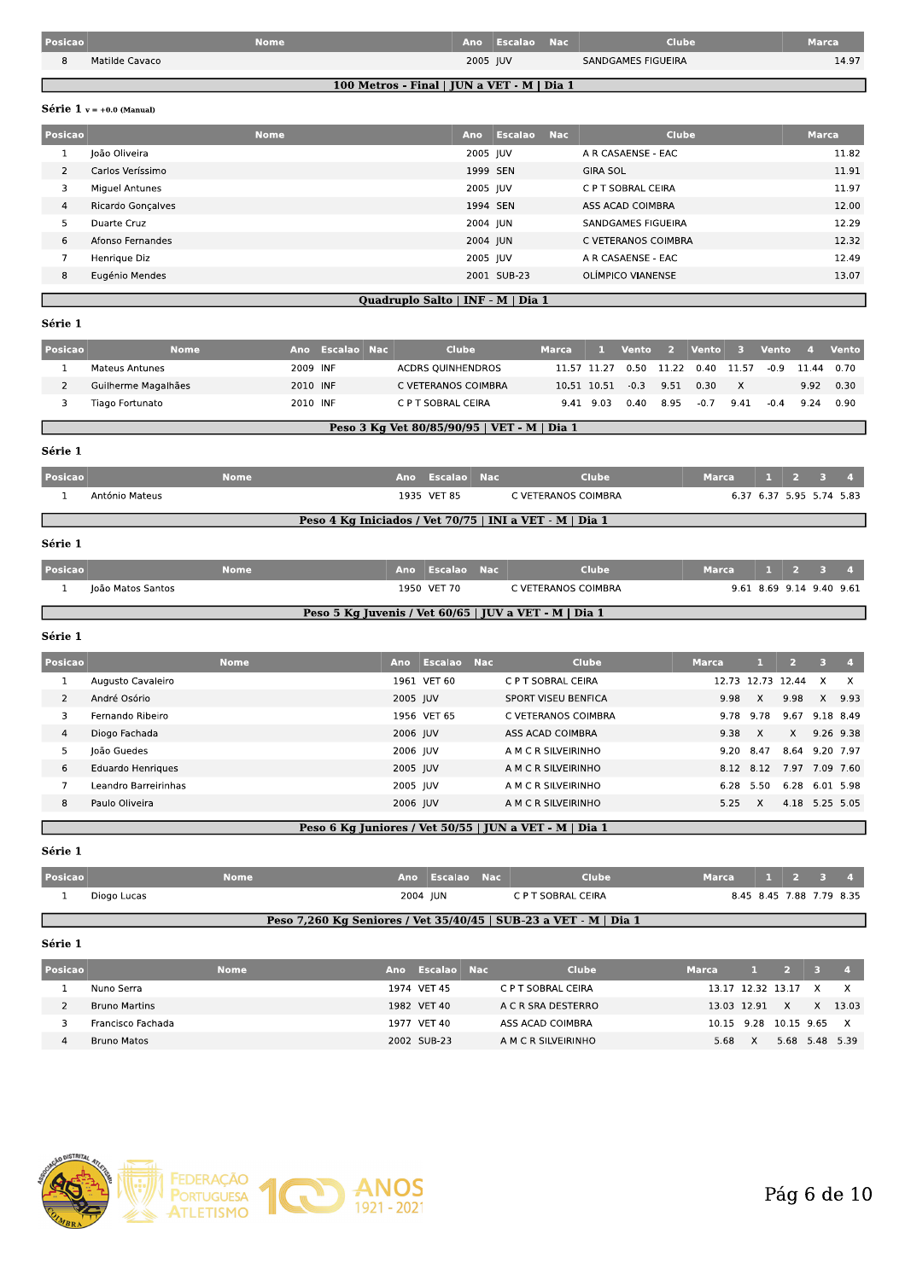| Posicao |                | Nome |          | Ano Escalao Nac | <b>Clube</b>       | $\n  Water\n$ |
|---------|----------------|------|----------|-----------------|--------------------|---------------|
|         | Matilde Cavaco |      | 2005 JUV |                 | SANDGAMES FIGUEIRA | 14.97         |
|         |                |      |          |                 |                    |               |

100 Metros - Final | JUN a VET - M | Dia 1

### Série 1  $v = +0.0$  (Manual)

| <b>Posicao</b> |                   | <b>Nome</b>                       | Ano      | <b>Escalao</b> Nac | <b>Clube</b>             | <b>Marca</b> |
|----------------|-------------------|-----------------------------------|----------|--------------------|--------------------------|--------------|
|                | João Oliveira     |                                   | 2005 JUV |                    | A R CASAENSE - EAC       | 11.82        |
| 2              | Carlos Veríssimo  |                                   | 1999 SEN |                    | <b>GIRA SOL</b>          | 11.91        |
| 3              | Miguel Antunes    |                                   | 2005 JUV |                    | C P T SOBRAL CEIRA       | 11.97        |
| $\overline{4}$ | Ricardo Gonçalves |                                   | 1994 SEN |                    | ASS ACAD COIMBRA         | 12.00        |
| 5              | Duarte Cruz       |                                   | 2004 JUN |                    | SANDGAMES FIGUEIRA       | 12.29        |
| 6              | Afonso Fernandes  |                                   | 2004 JUN |                    | C VETERANOS COIMBRA      | 12.32        |
|                | Henrique Diz      |                                   | 2005 JUV |                    | A R CASAENSE - EAC       | 12.49        |
| 8              | Eugénio Mendes    |                                   |          | 2001 SUB-23        | <b>OLÍMPICO VIANENSE</b> | 13.07        |
|                |                   | Quadruplo Salto   INF - M   Dia 1 |          |                    |                          |              |

## Série 1

н

| Posicao | <b>Nome</b>                                      |          | Ano Escalao Nac |  | <b>Clube</b>             | <b>Marca</b> |       | Vento  | $\overline{2}$ | Vento  | $\mathbf{B}$ | <b>Vento</b> | $\blacksquare$ | Vento |
|---------|--------------------------------------------------|----------|-----------------|--|--------------------------|--------------|-------|--------|----------------|--------|--------------|--------------|----------------|-------|
|         | Mateus Antunes                                   | 2009 INF |                 |  | <b>ACDRS OUINHENDROS</b> | 11.57 11.27  |       | 0.50   | 11.22          | 0.40   | 11.57        | $-0.9$       | 11.44          | 0.70  |
|         | Guilherme Magalhães                              | 2010 INF |                 |  | C VETERANOS COIMBRA      | 10.51 10.51  |       | $-0.3$ | 9.51           | 0.30   | X            |              | 9.92           | 0.30  |
|         | Tiago Fortunato                                  | 2010 INF |                 |  | C P T SOBRAL CEIRA       | 9.41         | -9.03 | 0.40   | 8.95           | $-0.7$ | 9.41         | $-0.4$       | 9.24           | 0.90  |
|         | Peso 3 Kg Vet 80/85/90/95  <br>$VET - M   Dia 1$ |          |                 |  |                          |              |       |        |                |        |              |              |                |       |

### Série 1

| <b>Posicao</b> |                                                         | Nome |  | Ano Escalao Nac |  | <b>Clube</b>        | <b>Marca</b> |  |  |  |                          |
|----------------|---------------------------------------------------------|------|--|-----------------|--|---------------------|--------------|--|--|--|--------------------------|
|                | António Mateus                                          |      |  | 1935 VET 85     |  | C VETERANOS COIMBRA |              |  |  |  | 6.37 6.37 5.95 5.74 5.83 |
|                | Peso 4 Kg Iniciados / Vet 70/75   INI a VET - M   Dia 1 |      |  |                 |  |                     |              |  |  |  |                          |

## Série 1

| Posicao |                   | <b>Nome</b> | Ano Escalao Nac | Clube               | Marca |                          |  |
|---------|-------------------|-------------|-----------------|---------------------|-------|--------------------------|--|
|         | loão Matos Santos |             | 1950 VET 70     | C VETERANOS COIMBRA |       | 9.61 8.69 9.14 9.40 9.61 |  |

Peso 5 Kg Juvenis / Vet 60/65 | JUV a VET - M | Dia 1

#### Série 1

| Posicao |                      | <b>Nome</b> | Ano      | Escalao Nac | <b>Clube</b>               | <b>Marca</b> |                   | $\mathcal{L}$  |                | $\mathbf{A}$ |
|---------|----------------------|-------------|----------|-------------|----------------------------|--------------|-------------------|----------------|----------------|--------------|
|         | Augusto Cavaleiro    |             |          | 1961 VET 60 | C P T SOBRAL CEIRA         |              | 12.73 12.73 12.44 |                | x              | x            |
|         | André Osório         |             | 2005 JUV |             | <b>SPORT VISEU BENFICA</b> | 9.98         | $\times$          | 9.98           | X              | 9.93         |
| 3       | Fernando Ribeiro     |             |          | 1956 VET 65 | C VETERANOS COIMBRA        | 9.78         | 9.78              | 9.67           | 9.18 8.49      |              |
| 4       | Diogo Fachada        |             | 2006 IUV |             | ASS ACAD COIMBRA           | 9.38         | X                 | $\times$       |                | 9.26 9.38    |
| 5.      | João Guedes          |             | 2006 JUV |             | A M C R SILVEIRINHO        | 9.20         | 8.47              | 8.64 9.20 7.97 |                |              |
| 6       | Eduardo Henriques    |             | 2005 JUV |             | A M C R SILVEIRINHO        | 8.12         | 8.12              | 7.97           | 7.09 7.60      |              |
|         | Leandro Barreirinhas |             | 2005 IUV |             | A M C R SILVEIRINHO        | 6.28         | 5.50              | 6.28           | 6.01 5.98      |              |
| 8       | Paulo Oliveira       |             | 2006 JUV |             | A M C R SILVEIRINHO        | 5.25         | $\mathsf{X}$      |                | 4.18 5.25 5.05 |              |
|         |                      |             |          |             |                            |              |                   |                |                |              |

### Peso 6 Kg Juniores / Vet 50/55 | JUN a VET - M | Dia 1

Série 1

| Posicao |             | Nome |          | Ano Escalao Nac | <b>Clube</b>                                                     | Marca 1 2 3 4 |                          |  |  |
|---------|-------------|------|----------|-----------------|------------------------------------------------------------------|---------------|--------------------------|--|--|
|         | Diogo Lucas |      | 2004 IUN |                 | C P T SOBRAL CEIRA                                               |               | 8.45 8.45 7.88 7.79 8.35 |  |  |
|         |             |      |          |                 | Peso 7,260 Kg Seniores / Vet 35/40/45   SUB-23 a VET - M   Dia 1 |               |                          |  |  |

#### Série 1

| Posicao |                   | <b>Nome</b> | Ano Escalao Nac | <b>Clube</b>        | <b>Marca</b> |                       | $1 \quad 2 \quad 3$ |                |
|---------|-------------------|-------------|-----------------|---------------------|--------------|-----------------------|---------------------|----------------|
|         | Nuno Serra        |             | 1974 VET 45     | C P T SOBRAL CEIRA  |              | 13.17 12.32 13.17 X X |                     |                |
|         | Bruno Martins     |             | 1982 VET 40     | A C R SRA DESTERRO  |              | 13.03 12.91 X         |                     | X 13.03        |
|         | Francisco Fachada |             | 1977 VET 40     | ASS ACAD COIMBRA    |              | 10.15 9.28 10.15 9.65 |                     | X.             |
|         | Bruno Matos       |             | 2002 SUB-23     | A M C R SILVEIRINHO | 5.68         | $\mathsf{X}$          |                     | 5.68 5.48 5.39 |

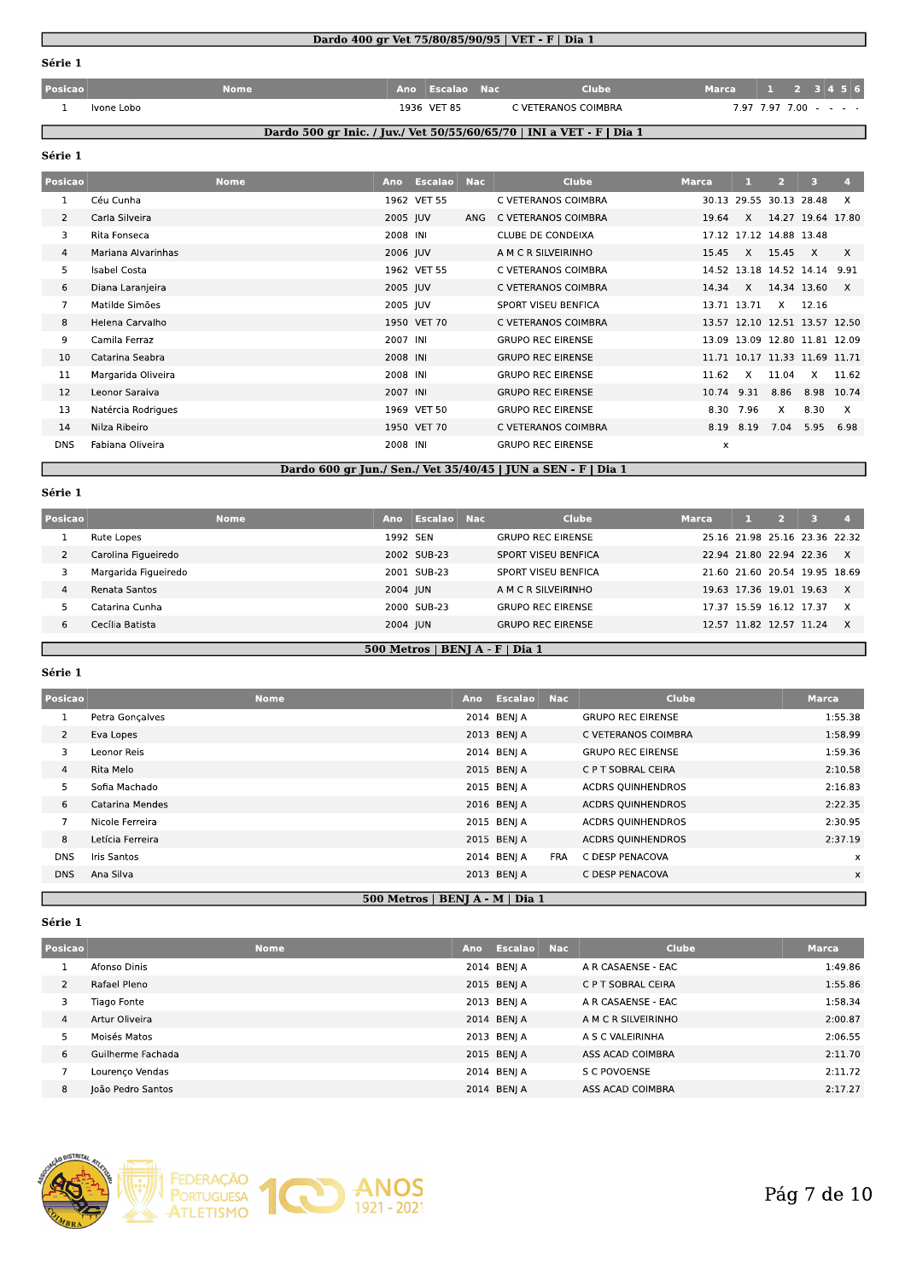## serie

|                |             |                 | Dardo 400 gr Vet 75/80/85/90/95   VET - F   Dia 1                     |              |                                  |  |              |
|----------------|-------------|-----------------|-----------------------------------------------------------------------|--------------|----------------------------------|--|--------------|
| Série 1        |             |                 |                                                                       |              |                                  |  |              |
| Posicao        | <b>Nome</b> | Ano Escalao Nac | <b>Clube</b>                                                          | <b>Marca</b> |                                  |  |              |
| Ivone Lobo     |             | 1936 VET 85     | C VETERANOS COIMBRA                                                   |              | $7.97$ $7.97$ $7.00$ - - - -     |  |              |
|                |             |                 | Dardo 500 gr Inic. / Juv./ Vet 50/55/60/65/70   INI a VET - F   Dia 1 |              |                                  |  |              |
| Série 1        |             |                 |                                                                       |              |                                  |  |              |
| <b>Posican</b> | <b>Nome</b> | Ano Escalao Nac | Clube.                                                                | <b>Marca</b> | $\sqrt{1}$ $\sqrt{2}$ $\sqrt{3}$ |  | $\mathbf{A}$ |

## <u>ao 500 gr inic. / juv./ vet 50/55/60/65/70 | ini a vei - F | Dia 1</u>

## $\bf{_{sene}}$

| 1              | Ivone Lobo          |     | 1936 VET 85    |            | C VETERANOS COIMBRA                                                   |              |             |                         | $7.97$ $7.97$ $7.00$ $  -$    |              |  |  |
|----------------|---------------------|-----|----------------|------------|-----------------------------------------------------------------------|--------------|-------------|-------------------------|-------------------------------|--------------|--|--|
|                |                     |     |                |            | Dardo 500 gr Inic. / Juv./ Vet 50/55/60/65/70   INI a VET - F   Dia 1 |              |             |                         |                               |              |  |  |
| Série 1        |                     |     |                |            |                                                                       |              |             |                         |                               |              |  |  |
| Posicao        | <b>Nome</b>         | Ano | <b>Escalao</b> | <b>Nac</b> | <b>Clube</b>                                                          | <b>Marca</b> | л.          | $\overline{2}$          | 3                             | 4.           |  |  |
| 1              | Céu Cunha           |     | 1962 VET 55    |            | C VETERANOS COIMBRA                                                   |              |             | 30.13 29.55 30.13 28.48 |                               | X            |  |  |
| $\overline{2}$ | Carla Silveira      |     | 2005 JUV       | ANG        | C VETERANOS COIMBRA                                                   | 19.64        | X           |                         | 14.27 19.64 17.80             |              |  |  |
| 3              | Rita Fonseca        |     | 2008 INI       |            | <b>CLUBE DE CONDEIXA</b>                                              |              |             | 17.12 17.12 14.88 13.48 |                               |              |  |  |
| 4              | Mariana Alvarinhas  |     | 2006 JUV       |            | A M C R SILVEIRINHO                                                   | 15.45        | $\times$    | 15.45                   | $\mathsf{X}$                  | $\times$     |  |  |
| 5              | <b>Isabel Costa</b> |     | 1962 VET 55    |            | C VETERANOS COIMBRA                                                   |              |             | 14.52 13.18 14.52 14.14 |                               | 9.91         |  |  |
| 6              | Diana Laranjeira    |     | 2005 JUV       |            | C VETERANOS COIMBRA                                                   | 14.34        | $\times$    | 14.34 13.60             |                               | $\mathsf{X}$ |  |  |
| 7              | Matilde Simões      |     | 2005 JUV       |            | SPORT VISEU BENFICA                                                   |              | 13.71 13.71 | $\times$                | 12.16                         |              |  |  |
| 8              | Helena Carvalho     |     | 1950 VET 70    |            | C VETERANOS COIMBRA                                                   |              |             |                         | 13.57 12.10 12.51 13.57 12.50 |              |  |  |
| 9              | Camila Ferraz       |     | 2007 INI       |            | <b>GRUPO REC EIRENSE</b>                                              |              |             |                         | 13.09 13.09 12.80 11.81 12.09 |              |  |  |
| 10             | Catarina Seabra     |     | 2008 INI       |            | <b>GRUPO REC EIRENSE</b>                                              |              |             |                         | 11.71 10.17 11.33 11.69 11.71 |              |  |  |
| 11             | Margarida Oliveira  |     | 2008 INI       |            | <b>GRUPO REC EIRENSE</b>                                              | 11.62        | $\times$    | 11.04                   | X                             | 11.62        |  |  |
| 12             | Leonor Saraiva      |     | 2007 INI       |            | <b>GRUPO REC EIRENSE</b>                                              | 10.74        | 9.31        | 8.86                    | 8.98 10.74                    |              |  |  |
| 13             | Natércia Rodrigues  |     | 1969 VET 50    |            | <b>GRUPO REC EIRENSE</b>                                              | 8.30         | 7.96        | X                       | 8.30                          | X            |  |  |
| 14             | Nilza Ribeiro       |     | 1950 VET 70    |            | C VETERANOS COIMBRA                                                   |              | 8.19 8.19   | 7.04                    | 5.95                          | 6.98         |  |  |
| <b>DNS</b>     | Fabiana Oliveira    |     | 2008 INI       |            | <b>GRUPO REC EIRENSE</b>                                              | x            |             |                         |                               |              |  |  |
|                |                     |     |                |            | Dardo 600 gr Jun./ Sen./ Vet 35/40/45   JUN a SEN - F   Dia 1         |              |             |                         |                               |              |  |  |

#### serie

| <b>DNS</b>     | Fabiana Oliveira     |             |          | 2008 INI    | <b>GRUPO REC EIRENSE</b>                                      | X            |                         |    |                               |                |  |
|----------------|----------------------|-------------|----------|-------------|---------------------------------------------------------------|--------------|-------------------------|----|-------------------------------|----------------|--|
|                |                      |             |          |             | Dardo 600 gr Jun./ Sen./ Vet 35/40/45   JUN a SEN - F   Dia 1 |              |                         |    |                               |                |  |
| Série 1        |                      |             |          |             |                                                               |              |                         |    |                               |                |  |
| Posicao        |                      | <b>Nome</b> | Ano      | Escalao Nac | <b>Clube</b>                                                  | <b>Marca</b> | -11 -                   | -2 | -3.                           | $\overline{a}$ |  |
|                | Rute Lopes           |             | 1992 SEN |             | <b>GRUPO REC EIRENSE</b>                                      |              |                         |    | 25.16 21.98 25.16 23.36 22.32 |                |  |
| $\overline{2}$ | Carolina Figueiredo  |             |          | 2002 SUB-23 | SPORT VISEU BENFICA                                           |              |                         |    | 22.94 21.80 22.94 22.36       | X              |  |
| 3              | Margarida Figueiredo |             |          | 2001 SUB-23 | SPORT VISEU BENFICA                                           |              |                         |    | 21.60 21.60 20.54 19.95 18.69 |                |  |
| $\overline{4}$ | Renata Santos        |             | 2004 JUN |             | A M C R SILVEIRINHO                                           |              |                         |    | 19.63 17.36 19.01 19.63       | $\mathsf{x}$   |  |
|                | Catarina Cunha       |             |          | 2000 SUB-23 | <b>GRUPO REC EIRENSE</b>                                      |              | 17.37 15.59 16.12 17.37 |    |                               | $\times$       |  |
| 6              | Cecília Batista      |             | 2004 JUN |             | <b>GRUPO REC EIRENSE</b>                                      |              |                         |    | 12.57 11.82 12.57 11.24       | $\mathsf{x}$   |  |

#### <u>500 Metros | BENJ A - F | Dia 1</u>

#### $S$ erie 1

| 6              | Cecília Batista    |             | 2004 JUN                        | <b>GRUPO REC EIRENSE</b> |            |                          | 12.57 11.82 12.57 11.24 |              | X        |
|----------------|--------------------|-------------|---------------------------------|--------------------------|------------|--------------------------|-------------------------|--------------|----------|
|                |                    |             | 500 Metros   BENJ A - F   Dia 1 |                          |            |                          |                         |              |          |
| Série 1        |                    |             |                                 |                          |            |                          |                         |              |          |
| Posicao        |                    | <b>Nome</b> | Ano                             | <b>Escalao</b>           | <b>Nac</b> | <b>Clube</b>             |                         | <b>Marca</b> |          |
| 1              | Petra Gonçalves    |             |                                 | 2014 BENJ A              |            | <b>GRUPO REC EIRENSE</b> |                         |              | 1:55.38  |
| $\overline{2}$ | Eva Lopes          |             |                                 | 2013 BENJ A              |            | C VETERANOS COIMBRA      |                         |              | 1:58.99  |
| 3              | Leonor Reis        |             |                                 | 2014 BENJ A              |            | <b>GRUPO REC EIRENSE</b> |                         |              | 1:59.36  |
| $\overline{4}$ | Rita Melo          |             |                                 | 2015 BENJ A              |            | C P T SOBRAL CEIRA       |                         |              | 2:10.58  |
| 5              | Sofia Machado      |             |                                 | 2015 BENJ A              |            | <b>ACDRS QUINHENDROS</b> |                         |              | 2:16.83  |
| 6              | Catarina Mendes    |             |                                 | 2016 BENJ A              |            | <b>ACDRS QUINHENDROS</b> |                         |              | 2:22.35  |
| $\overline{7}$ | Nicole Ferreira    |             |                                 | 2015 BENJ A              |            | <b>ACDRS QUINHENDROS</b> |                         |              | 2:30.95  |
| 8              | Letícia Ferreira   |             |                                 | 2015 BENJ A              |            | <b>ACDRS QUINHENDROS</b> |                         |              | 2:37.19  |
| <b>DNS</b>     | <b>Iris Santos</b> |             |                                 | 2014 BENJ A              | <b>FRA</b> | C DESP PENACOVA          |                         |              | x        |
| <b>DNS</b>     | Ana Silva          |             |                                 | 2013 BENJ A              |            | C DESP PENACOVA          |                         |              | $\times$ |
|                |                    |             |                                 |                          |            |                          |                         |              |          |

#### $S$ erie 1

| <b>DNS</b>     | Ana Silva         |             |                                 | 2013 BENJ A        | C DESP PENACOVA     | $\times$ |
|----------------|-------------------|-------------|---------------------------------|--------------------|---------------------|----------|
|                |                   |             | 500 Metros   BENJ A - M   Dia 1 |                    |                     |          |
| Série 1        |                   |             |                                 |                    |                     |          |
| Posicao        |                   | <b>Nome</b> | Ano                             | <b>Escalao</b> Nac | Clube               | Marca    |
|                | Afonso Dinis      |             |                                 | 2014 BENI A        | A R CASAENSE - EAC  | 1:49.86  |
| $\overline{2}$ | Rafael Pleno      |             |                                 | 2015 BENJ A        | C P T SOBRAL CEIRA  | 1:55.86  |
| 3              | Tiago Fonte       |             |                                 | 2013 BENJ A        | A R CASAENSE - EAC  | 1:58.34  |
| 4              | Artur Oliveira    |             |                                 | 2014 BENJ A        | A M C R SILVEIRINHO | 2:00.87  |
| 5              | Moisés Matos      |             |                                 | 2013 BENJ A        | A S C VALEIRINHA    | 2:06.55  |
| 6              | Guilherme Fachada |             |                                 | 2015 BENJ A        | ASS ACAD COIMBRA    | 2:11.70  |
| $\overline{7}$ | Lourenço Vendas   |             |                                 | 2014 BENJ A        | S C POVOENSE        | 2:11.72  |
| 8              | João Pedro Santos |             |                                 | 2014 BENJ A        | ASS ACAD COIMBRA    | 2:17.27  |
|                |                   |             |                                 |                    |                     |          |

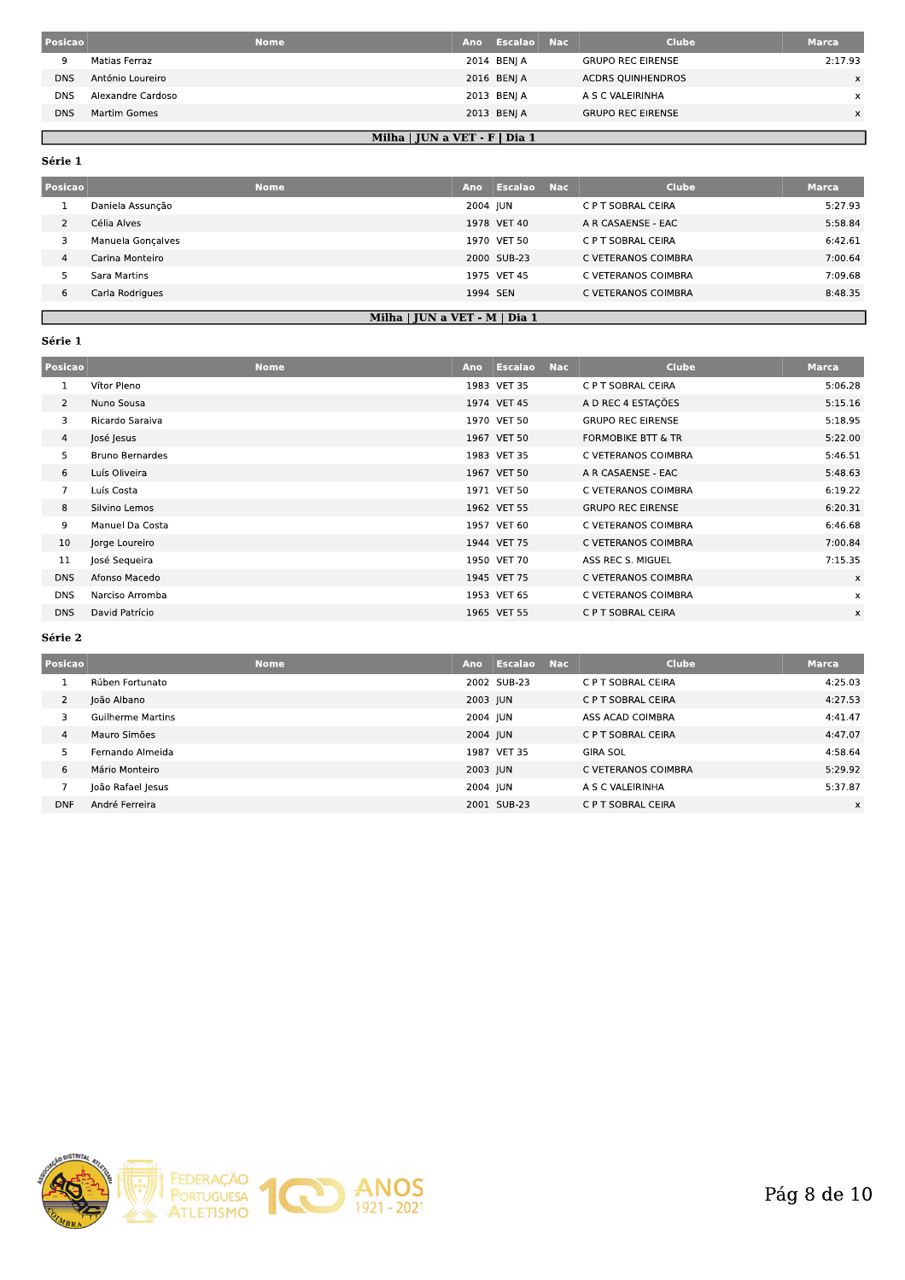| Posicao    |                   | <b>Nome</b><br>Ano              | Escalao Nac | Clube                    | <b>Marca</b> |
|------------|-------------------|---------------------------------|-------------|--------------------------|--------------|
|            | Matias Ferraz     |                                 | 2014 BENJ A | <b>GRUPO REC EIRENSE</b> | 2:17.93      |
| <b>DNS</b> | António Loureiro  |                                 | 2016 BENJ A | <b>ACDRS OUINHENDROS</b> | $\times$     |
| <b>DNS</b> | Alexandre Cardoso |                                 | 2013 BENJ A | A S C VALEIRINHA         | x            |
| <b>DNS</b> | Martim Gomes      |                                 | 2013 BENJ A | <b>GRUPO REC EIRENSE</b> | x.           |
|            |                   |                                 |             |                          |              |
|            |                   | Milha   JUN a VET - $F$   Dia 1 |             |                          |              |

Série 1

Г

| Posicao | <b>Nome</b>       | Ano      | Escalao Nac | <b>Clube</b>        | <b>Marca</b> |
|---------|-------------------|----------|-------------|---------------------|--------------|
|         | Daniela Assuncão  | 2004 JUN |             | C P T SOBRAL CEIRA  | 5:27.93      |
|         | Célia Alves       |          | 1978 VET 40 | A R CASAENSE - EAC  | 5:58.84      |
|         | Manuela Gonçalves |          | 1970 VET 50 | C P T SOBRAL CEIRA  | 6:42.61      |
| 4       | Carina Monteiro   |          | 2000 SUB-23 | C VETERANOS COIMBRA | 7:00.64      |
|         | Sara Martins      |          | 1975 VET 45 | C VETERANOS COIMBRA | 7:09.68      |
| 6       | Carla Rodrigues   | 1994 SEN |             | C VETERANOS COIMBRA | 8:48.35      |
|         |                   |          |             |                     |              |

## Milha | JUN a VET - M | Dia 1

## Série 1

ı

| Posicao        |                        | <b>Nome</b> | Ano | <b>Escalao</b> | <b>Nac</b> | <b>Clube</b>             | <b>Marca</b> |
|----------------|------------------------|-------------|-----|----------------|------------|--------------------------|--------------|
|                | Vítor Pleno            |             |     | 1983 VET 35    |            | C P T SOBRAL CEIRA       | 5:06.28      |
| $\overline{2}$ | Nuno Sousa             |             |     | 1974 VET 45    |            | A D REC 4 ESTAÇÕES       | 5:15.16      |
| 3              | Ricardo Saraiva        |             |     | 1970 VET 50    |            | <b>GRUPO REC EIRENSE</b> | 5:18.95      |
| 4              | José Jesus             |             |     | 1967 VET 50    |            | FORMOBIKE BTT & TR       | 5:22.00      |
| 5.             | <b>Bruno Bernardes</b> |             |     | 1983 VET 35    |            | C VETERANOS COIMBRA      | 5:46.51      |
| 6              | Luís Oliveira          |             |     | 1967 VET 50    |            | A R CASAENSE - EAC       | 5:48.63      |
| $\overline{7}$ | Luís Costa             |             |     | 1971 VET 50    |            | C VETERANOS COIMBRA      | 6:19.22      |
| 8              | Silvino Lemos          |             |     | 1962 VET 55    |            | <b>GRUPO REC EIRENSE</b> | 6:20.31      |
| 9              | Manuel Da Costa        |             |     | 1957 VET 60    |            | C VETERANOS COIMBRA      | 6:46.68      |
| 10             | Jorge Loureiro         |             |     | 1944 VET 75    |            | C VETERANOS COIMBRA      | 7:00.84      |
| 11             | José Sequeira          |             |     | 1950 VET 70    |            | ASS REC S. MIGUEL        | 7:15.35      |
| <b>DNS</b>     | Afonso Macedo          |             |     | 1945 VET 75    |            | C VETERANOS COIMBRA      | x            |
| <b>DNS</b>     | Narciso Arromba        |             |     | 1953 VET 65    |            | C VETERANOS COIMBRA      | $\times$     |
| <b>DNS</b>     | David Patrício         |             |     | 1965 VET 55    |            | C P T SOBRAL CEIRA       | X            |

## Série 2

| Posicao        | <b>Nome</b>              | Ano      | <b>Escalao</b> | <b>Nac</b> | <b>Clube</b>        | Marca    |
|----------------|--------------------------|----------|----------------|------------|---------------------|----------|
|                | Rúben Fortunato          |          | 2002 SUB-23    |            | C P T SOBRAL CEIRA  | 4:25.03  |
| $\overline{2}$ | João Albano              | 2003 JUN |                |            | C P T SOBRAL CEIRA  | 4:27.53  |
|                | <b>Guilherme Martins</b> | 2004 JUN |                |            | ASS ACAD COIMBRA    | 4:41.47  |
| 4              | Mauro Simões             |          | 2004 JUN       |            | C P T SOBRAL CEIRA  | 4:47.07  |
|                | Fernando Almeida         |          | 1987 VET 35    |            | <b>GIRA SOL</b>     | 4:58.64  |
| 6              | Mário Monteiro           |          | 2003 JUN       |            | C VETERANOS COIMBRA | 5:29.92  |
|                | João Rafael Jesus        | 2004 JUN |                |            | A S C VALEIRINHA    | 5:37.87  |
| <b>DNF</b>     | André Ferreira           |          | 2001 SUB-23    |            | C P T SOBRAL CEIRA  | $\times$ |

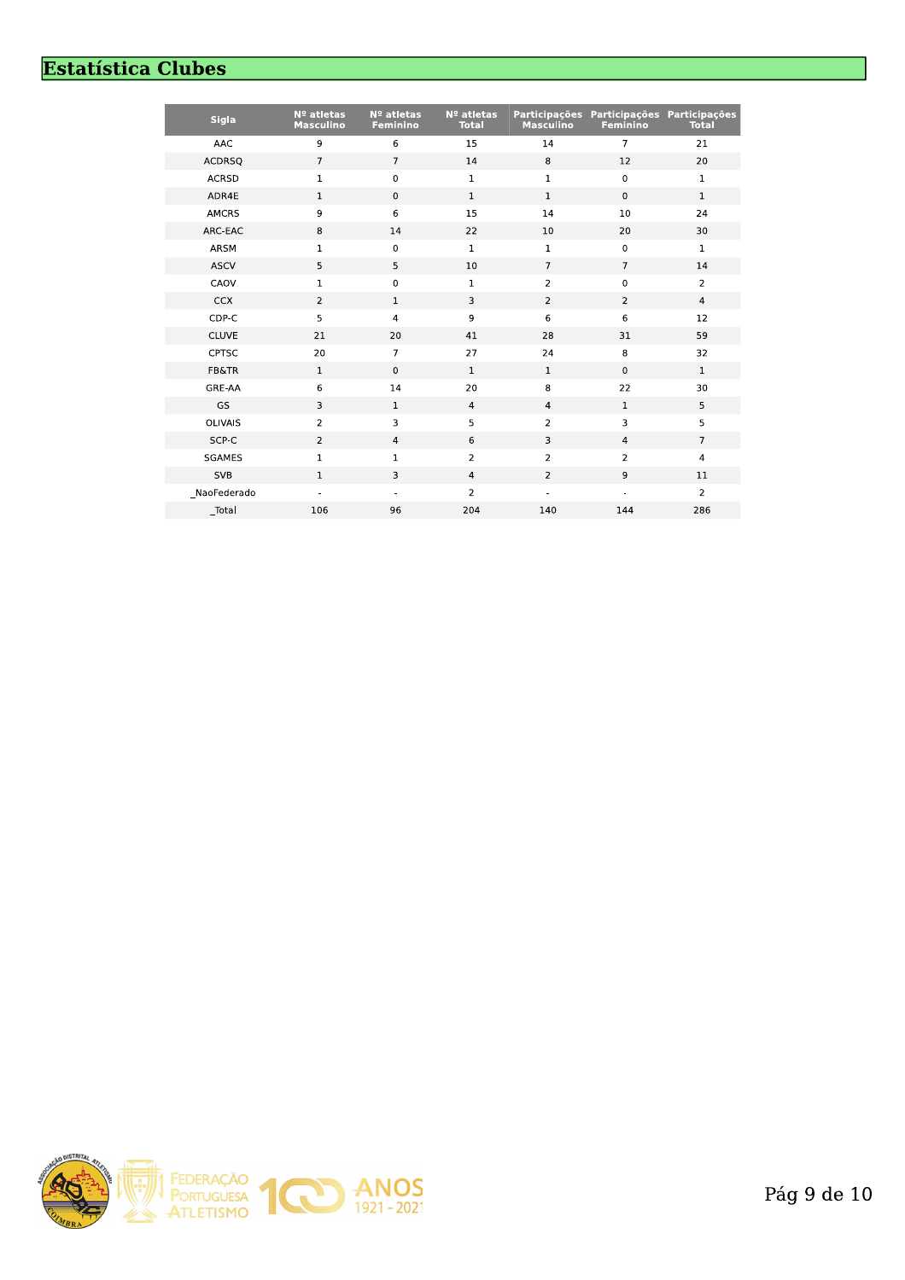# **Estatística Clubes**

| <b>Sigla</b>     | Nº atletas<br><b>Masculino</b> | Nº atletas<br><b>Feminino</b> | Nº atletas<br><b>Total</b> | <b>Participações</b><br><b>Masculino</b> | Participações Participações<br><b>Feminino</b> | <b>Total</b>            |
|------------------|--------------------------------|-------------------------------|----------------------------|------------------------------------------|------------------------------------------------|-------------------------|
| <b>AAC</b>       | 9                              | 6                             | 15                         | 14                                       | $\overline{7}$                                 | 21                      |
| <b>ACDRSQ</b>    | $\overline{7}$                 | $\overline{7}$                | 14                         | 8                                        | 12                                             | 20                      |
| <b>ACRSD</b>     | $\mathbf 1$                    | $\mathsf 0$                   | $\mathbf{1}$               | $\mathbf{1}$                             | 0                                              | $\mathbf 1$             |
| ADR4E            | $\mathbf{1}$                   | $\mathbf 0$                   | $\mathbf 1$                | $\mathbf 1$                              | $\mathbf 0$                                    | $\mathbf{1}$            |
| <b>AMCRS</b>     | 9                              | $\,$ 6                        | 15                         | 14                                       | 10                                             | 24                      |
| ARC-EAC          | 8                              | 14                            | 22                         | 10                                       | 20                                             | 30                      |
| ARSM             | $\mathbf 1$                    | $\mathbf 0$                   | $\mathbf{1}$               | $\mathbf 1$                              | $\mathbf 0$                                    | $\mathbf 1$             |
| <b>ASCV</b>      | 5                              | 5                             | 10                         | $\overline{7}$                           | $\overline{7}$                                 | 14                      |
| CAOV             | $\mathbf 1$                    | $\pmb{0}$                     | $\mathbf 1$                | $\overline{2}$                           | $\pmb{0}$                                      | $\overline{2}$          |
| <b>CCX</b>       | $\overline{2}$                 | $\mathbf{1}$                  | 3                          | $\overline{2}$                           | $\overline{2}$                                 | $\overline{4}$          |
| CDP-C            | 5                              | $\overline{4}$                | 9                          | 6                                        | 6                                              | 12                      |
| <b>CLUVE</b>     | 21                             | 20                            | 41                         | 28                                       | 31                                             | 59                      |
| <b>CPTSC</b>     | 20                             | $\overline{7}$                | 27                         | 24                                       | 8                                              | 32                      |
| <b>FB&amp;TR</b> | $\mathbf{1}$                   | $\mathbf 0$                   | $\mathbf{1}$               | $\mathbf{1}$                             | $\mathbf 0$                                    | $\mathbf{1}$            |
| GRE-AA           | 6                              | 14                            | 20                         | 8                                        | 22                                             | 30                      |
| GS               | 3                              | $\mathbf 1$                   | $\overline{4}$             | $\overline{4}$                           | $1\,$                                          | 5                       |
| <b>OLIVAIS</b>   | $\overline{2}$                 | 3                             | 5                          | $\overline{2}$                           | 3                                              | 5                       |
| SCP-C            | $\overline{2}$                 | $\overline{4}$                | 6                          | 3                                        | $\overline{4}$                                 | $\overline{7}$          |
| SGAMES           | $\mathbf 1$                    | $\mathbf 1$                   | $\overline{2}$             | $\overline{2}$                           | $\overline{2}$                                 | $\overline{\mathbf{4}}$ |
| <b>SVB</b>       | $\mathbf{1}$                   | 3                             | $\overline{4}$             | $\overline{2}$                           | 9                                              | 11                      |
| NaoFederado      |                                |                               | $\overline{2}$             |                                          |                                                | $\overline{2}$          |
| $_$ Total        | 106                            | 96                            | 204                        | 140                                      | 144                                            | 286                     |
|                  |                                |                               |                            |                                          |                                                |                         |